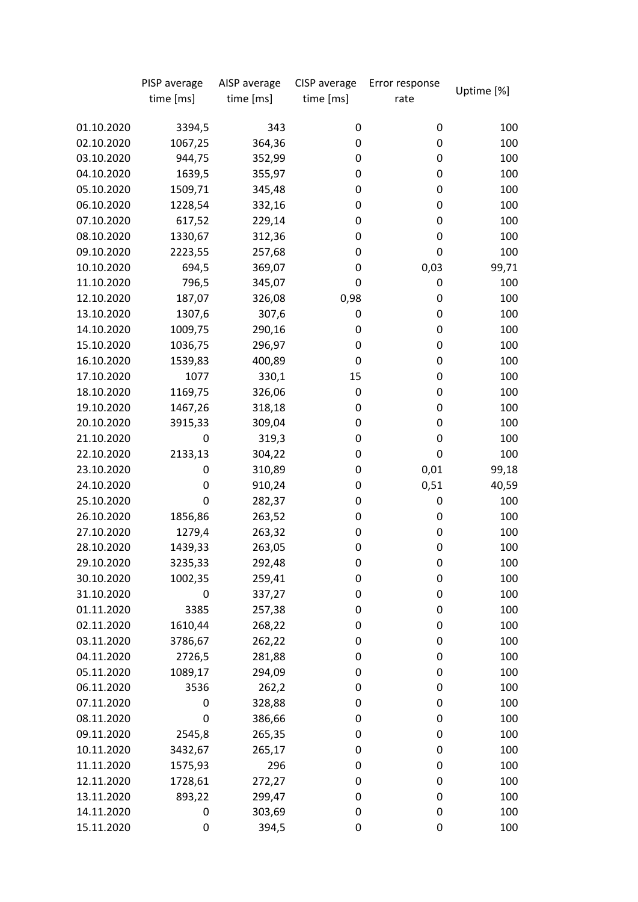|            | PISP average | AISP average | CISP average | Error response | Uptime [%] |
|------------|--------------|--------------|--------------|----------------|------------|
|            | time [ms]    | time [ms]    | time [ms]    | rate           |            |
|            |              |              |              |                |            |
| 01.10.2020 | 3394,5       | 343          | 0            | 0              | 100        |
| 02.10.2020 | 1067,25      | 364,36       | 0            | 0              | 100        |
| 03.10.2020 | 944,75       | 352,99       | 0            | 0              | 100        |
| 04.10.2020 | 1639,5       | 355,97       | 0            | 0              | 100        |
| 05.10.2020 | 1509,71      | 345,48       | 0            | 0              | 100        |
| 06.10.2020 | 1228,54      | 332,16       | 0            | 0              | 100        |
| 07.10.2020 | 617,52       | 229,14       | 0            | 0              | 100        |
| 08.10.2020 | 1330,67      | 312,36       | 0            | 0              | 100        |
| 09.10.2020 | 2223,55      | 257,68       | 0            | 0              | 100        |
| 10.10.2020 | 694,5        | 369,07       | 0            | 0,03           | 99,71      |
| 11.10.2020 | 796,5        | 345,07       | 0            | 0              | 100        |
| 12.10.2020 | 187,07       | 326,08       | 0,98         | 0              | 100        |
| 13.10.2020 | 1307,6       | 307,6        | 0            | 0              | 100        |
| 14.10.2020 | 1009,75      | 290,16       | 0            | 0              | 100        |
| 15.10.2020 | 1036,75      | 296,97       | 0            | 0              | 100        |
| 16.10.2020 | 1539,83      | 400,89       | 0            | 0              | 100        |
| 17.10.2020 | 1077         | 330,1        | 15           | 0              | 100        |
| 18.10.2020 | 1169,75      | 326,06       | 0            | 0              | 100        |
| 19.10.2020 | 1467,26      | 318,18       | 0            | 0              | 100        |
| 20.10.2020 | 3915,33      | 309,04       | 0            | 0              | 100        |
| 21.10.2020 | 0            | 319,3        | 0            | 0              | 100        |
| 22.10.2020 | 2133,13      | 304,22       | 0            | 0              | 100        |
| 23.10.2020 | 0            | 310,89       | 0            | 0,01           | 99,18      |
| 24.10.2020 | 0            | 910,24       | 0            | 0,51           | 40,59      |
| 25.10.2020 | 0            | 282,37       | 0            | 0              | 100        |
| 26.10.2020 | 1856,86      | 263,52       | 0            | 0              | 100        |
| 27.10.2020 | 1279,4       | 263,32       | 0            | 0              | 100        |
| 28.10.2020 | 1439,33      | 263,05       | 0            | 0              | 100        |
| 29.10.2020 | 3235,33      | 292,48       | 0            | 0              | 100        |
| 30.10.2020 | 1002,35      | 259,41       | 0            | 0              | 100        |
| 31.10.2020 | $\mathbf 0$  | 337,27       | 0            | 0              | 100        |
| 01.11.2020 | 3385         | 257,38       | 0            | 0              | 100        |
| 02.11.2020 | 1610,44      | 268,22       | 0            | 0              | 100        |
| 03.11.2020 | 3786,67      | 262,22       | 0            | 0              | 100        |
| 04.11.2020 | 2726,5       | 281,88       | 0            | 0              | 100        |
| 05.11.2020 | 1089,17      | 294,09       | 0            | 0              | 100        |
| 06.11.2020 | 3536         | 262,2        | 0            | 0              | 100        |
| 07.11.2020 | 0            | 328,88       | 0            | 0              | 100        |
| 08.11.2020 | 0            | 386,66       | 0            | 0              | 100        |
| 09.11.2020 | 2545,8       | 265,35       | 0            | 0              | 100        |
| 10.11.2020 | 3432,67      | 265,17       | 0            | 0              | 100        |
| 11.11.2020 | 1575,93      | 296          | 0            | 0              | 100        |
| 12.11.2020 | 1728,61      | 272,27       | 0            | 0              | 100        |
| 13.11.2020 | 893,22       | 299,47       | 0            | 0              | 100        |
| 14.11.2020 | 0            | 303,69       | 0            | 0              | 100        |
| 15.11.2020 | 0            | 394,5        | 0            | 0              | 100        |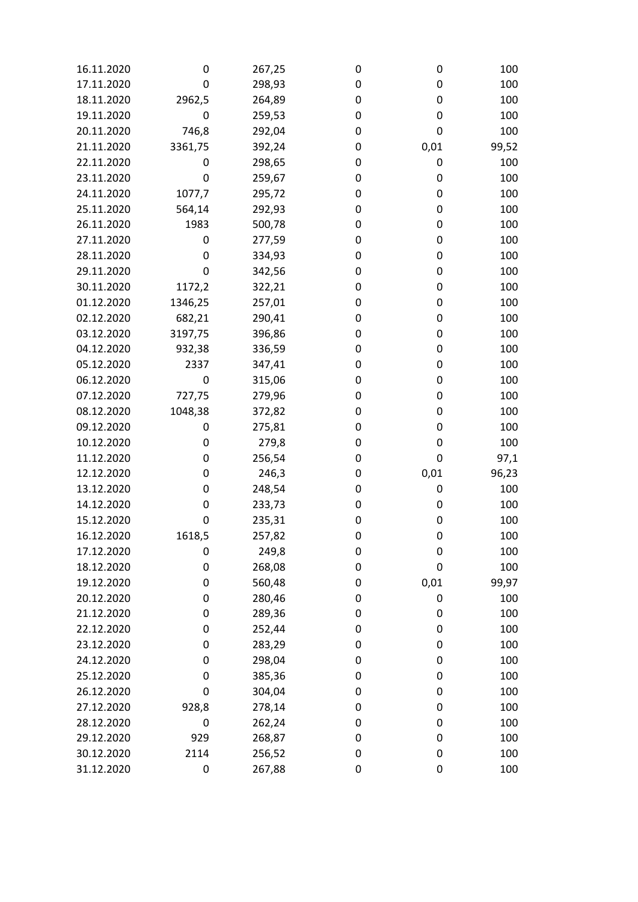| 16.11.2020 | 0       | 267,25 | 0 | 0    | 100   |
|------------|---------|--------|---|------|-------|
| 17.11.2020 | 0       | 298,93 | 0 | 0    | 100   |
| 18.11.2020 | 2962,5  | 264,89 | 0 | 0    | 100   |
| 19.11.2020 | 0       | 259,53 | 0 | 0    | 100   |
| 20.11.2020 | 746,8   | 292,04 | 0 | 0    | 100   |
| 21.11.2020 | 3361,75 | 392,24 | 0 | 0,01 | 99,52 |
| 22.11.2020 | 0       | 298,65 | 0 | 0    | 100   |
| 23.11.2020 | 0       | 259,67 | 0 | 0    | 100   |
| 24.11.2020 | 1077,7  | 295,72 | 0 | 0    | 100   |
| 25.11.2020 | 564,14  | 292,93 | 0 | 0    | 100   |
| 26.11.2020 | 1983    | 500,78 | 0 | 0    | 100   |
| 27.11.2020 | 0       | 277,59 | 0 | 0    | 100   |
| 28.11.2020 | 0       | 334,93 | 0 | 0    | 100   |
| 29.11.2020 | 0       | 342,56 | 0 | 0    | 100   |
| 30.11.2020 | 1172,2  | 322,21 | 0 | 0    | 100   |
| 01.12.2020 | 1346,25 | 257,01 | 0 | 0    | 100   |
| 02.12.2020 | 682,21  | 290,41 | 0 | 0    | 100   |
| 03.12.2020 | 3197,75 | 396,86 | 0 | 0    | 100   |
| 04.12.2020 | 932,38  | 336,59 | 0 | 0    | 100   |
| 05.12.2020 | 2337    | 347,41 | 0 | 0    | 100   |
| 06.12.2020 | 0       | 315,06 | 0 | 0    | 100   |
| 07.12.2020 | 727,75  | 279,96 | 0 | 0    | 100   |
| 08.12.2020 | 1048,38 | 372,82 | 0 | 0    | 100   |
| 09.12.2020 | 0       | 275,81 | 0 | 0    | 100   |
| 10.12.2020 | 0       | 279,8  | 0 | 0    | 100   |
| 11.12.2020 | 0       | 256,54 | 0 | 0    | 97,1  |
| 12.12.2020 | 0       | 246,3  | 0 | 0,01 | 96,23 |
| 13.12.2020 | 0       | 248,54 | 0 | 0    | 100   |
| 14.12.2020 | 0       | 233,73 | 0 | 0    | 100   |
| 15.12.2020 | 0       | 235,31 | 0 | 0    | 100   |
| 16.12.2020 | 1618,5  | 257,82 | 0 | 0    | 100   |
| 17.12.2020 | 0       | 249,8  | 0 | 0    | 100   |
| 18.12.2020 | 0       | 268,08 | 0 | 0    | 100   |
| 19.12.2020 | 0       | 560,48 | 0 | 0,01 | 99,97 |
| 20.12.2020 | 0       | 280,46 | 0 | 0    | 100   |
| 21.12.2020 | 0       | 289,36 | 0 | 0    | 100   |
| 22.12.2020 | 0       | 252,44 | 0 | 0    | 100   |
| 23.12.2020 | 0       | 283,29 | 0 | 0    | 100   |
| 24.12.2020 | 0       | 298,04 | 0 | 0    | 100   |
| 25.12.2020 | 0       | 385,36 | 0 | 0    | 100   |
| 26.12.2020 | 0       | 304,04 | 0 | 0    | 100   |
| 27.12.2020 | 928,8   | 278,14 | 0 | 0    | 100   |
| 28.12.2020 | 0       | 262,24 | 0 | 0    | 100   |
| 29.12.2020 | 929     | 268,87 | 0 | 0    | 100   |
| 30.12.2020 | 2114    | 256,52 | 0 | 0    | 100   |
| 31.12.2020 | 0       | 267,88 | 0 | 0    | 100   |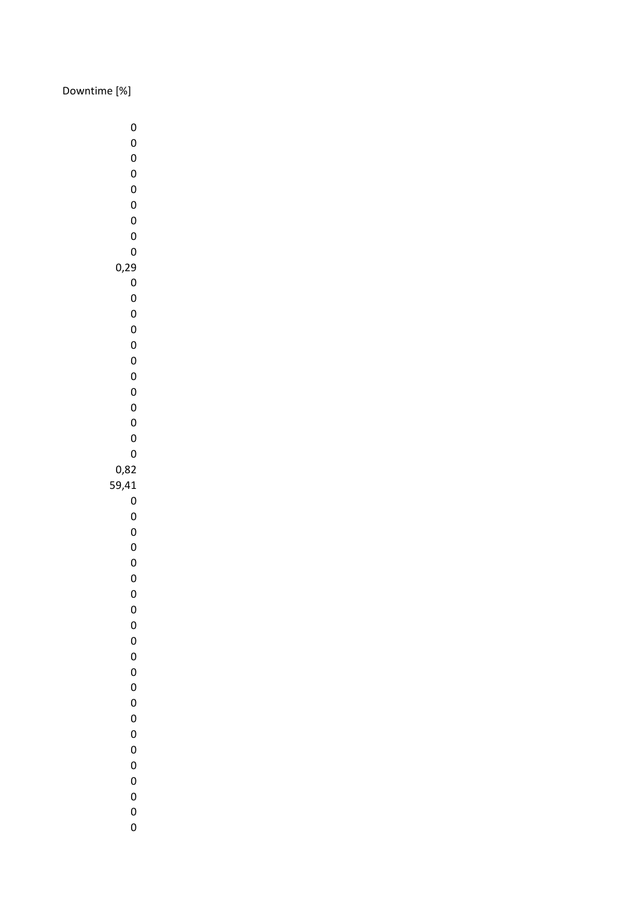## Downtime [%]